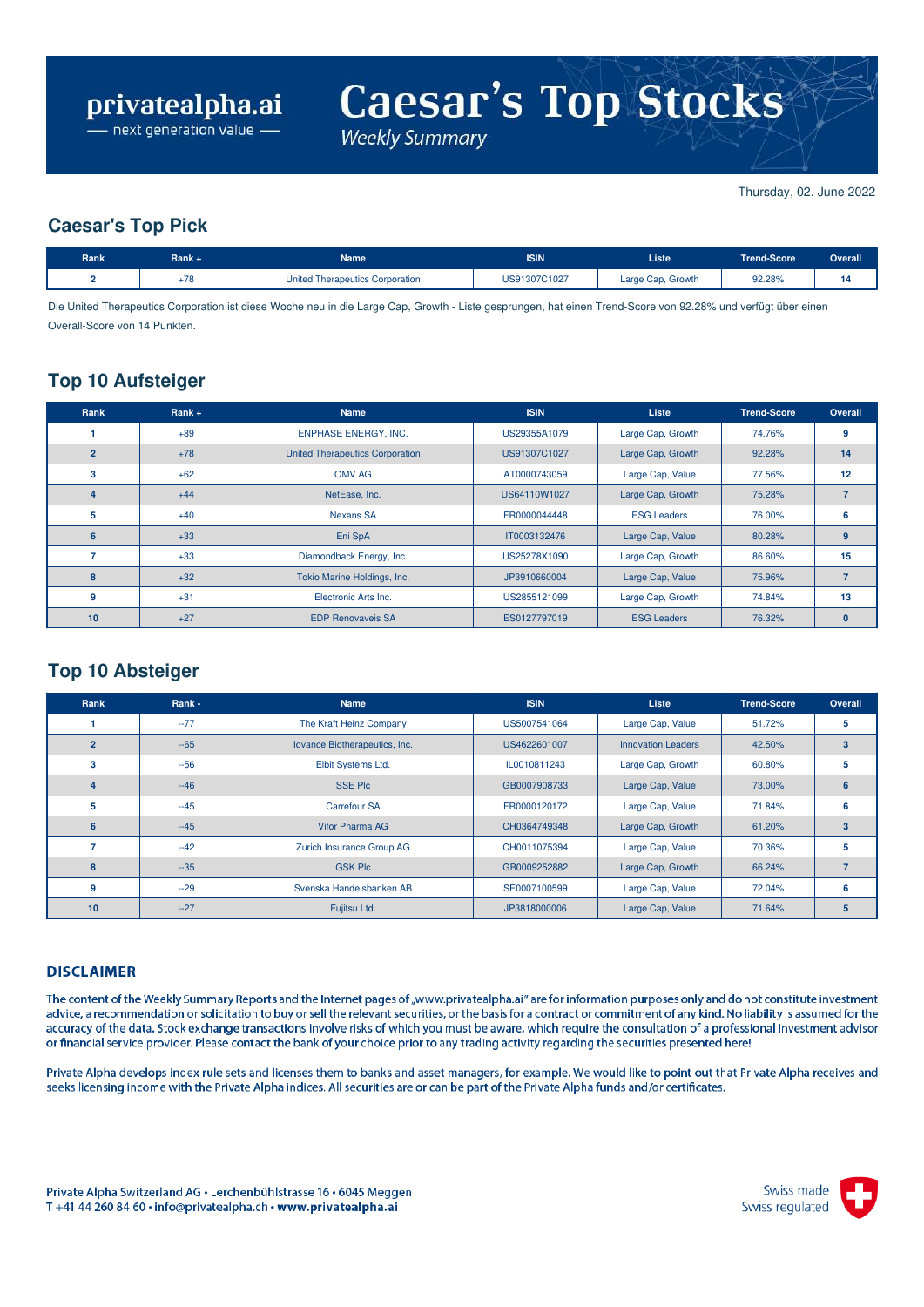$\overline{\phantom{a}}$  next generation value  $\overline{\phantom{a}}$ 

**Caesar's Top Stocks** 

**Weekly Summary** 

Thursday, 02. June 2022

### **Caesar's Top Pick**

| Rank | Rank + | Name                            | <b>ISIN</b>  | <b>Liste</b>      | Trend-Score | <b>Overall</b> |
|------|--------|---------------------------------|--------------|-------------------|-------------|----------------|
|      | $+78$  | United Therapeutics Corporation | US91307C1027 | Large Cap, Growth | 92.28%      |                |

Die United Therapeutics Corporation ist diese Woche neu in die Large Cap, Growth - Liste gesprungen, hat einen Trend-Score von 92.28% und verfügt über einen Overall-Score von 14 Punkten.

## **Top 10 Aufsteiger**

| Rank           | Rank $+$ | <b>Name</b>                            | <b>ISIN</b>  | <b>Liste</b>       | <b>Trend-Score</b> | Overall      |
|----------------|----------|----------------------------------------|--------------|--------------------|--------------------|--------------|
|                | $+89$    | <b>ENPHASE ENERGY, INC.</b>            | US29355A1079 | Large Cap, Growth  | 74.76%             | 9            |
| $\overline{2}$ | $+78$    | <b>United Therapeutics Corporation</b> | US91307C1027 | Large Cap, Growth  | 92.28%             | 14           |
| 3              | $+62$    | <b>OMV AG</b>                          | AT0000743059 | Large Cap, Value   | 77.56%             | 12           |
|                | $+44$    | NetEase, Inc.                          | US64110W1027 | Large Cap, Growth  | 75.28%             |              |
| 5              | $+40$    | <b>Nexans SA</b>                       | FR0000044448 | <b>ESG Leaders</b> | 76.00%             | 6            |
| 6              | $+33$    | Eni SpA                                | IT0003132476 | Large Cap, Value   | 80.28%             | 9            |
|                | $+33$    | Diamondback Energy, Inc.               | US25278X1090 | Large Cap, Growth  | 86.60%             | 15           |
| 8              | $+32$    | Tokio Marine Holdings, Inc.            | JP3910660004 | Large Cap, Value   | 75.96%             |              |
| 9              | $+31$    | Electronic Arts Inc.                   | US2855121099 | Large Cap, Growth  | 74.84%             | 13           |
| 10             | $+27$    | <b>EDP Renovaveis SA</b>               | ES0127797019 | <b>ESG Leaders</b> | 76.32%             | $\mathbf{0}$ |

## **Top 10 Absteiger**

| Rank           | Rank - | <b>Name</b>                   | <b>ISIN</b>  | Liste                     | <b>Trend-Score</b> | Overall        |
|----------------|--------|-------------------------------|--------------|---------------------------|--------------------|----------------|
|                | $-77$  | The Kraft Heinz Company       | US5007541064 | Large Cap, Value          | 51.72%             | 5              |
| $\overline{2}$ | $-65$  | lovance Biotherapeutics, Inc. | US4622601007 | <b>Innovation Leaders</b> | 42.50%             | $\overline{3}$ |
| 3              | $-56$  | Elbit Systems Ltd.            | IL0010811243 | Large Cap, Growth         | 60.80%             | 5              |
| 4              | $-46$  | <b>SSE Plc</b>                | GB0007908733 | Large Cap, Value          | 73.00%             | 6              |
| 5              | $-45$  | <b>Carrefour SA</b>           | FR0000120172 | Large Cap, Value          | 71.84%             | 6              |
| 6              | $-45$  | <b>Vifor Pharma AG</b>        | CH0364749348 | Large Cap, Growth         | 61.20%             | 3              |
|                | $-42$  | Zurich Insurance Group AG     | CH0011075394 | Large Cap, Value          | 70.36%             | 5              |
| 8              | $-35$  | <b>GSK Plc</b>                | GB0009252882 | Large Cap, Growth         | 66.24%             |                |
| 9              | $-29$  | Svenska Handelsbanken AB      | SE0007100599 | Large Cap, Value          | 72.04%             | 6              |
| 10             | $-27$  | Fujitsu Ltd.                  | JP3818000006 | Large Cap, Value          | 71.64%             | 5              |

#### **DISCLAIMER**

The content of the Weekly Summary Reports and the Internet pages of "www.privatealpha.ai" are for information purposes only and do not constitute investment advice, a recommendation or solicitation to buy or sell the relevant securities, or the basis for a contract or commitment of any kind. No liability is assumed for the accuracy of the data. Stock exchange transactions involve risks of which you must be aware, which require the consultation of a professional investment advisor or financial service provider. Please contact the bank of your choice prior to any trading activity regarding the securities presented here!

Private Alpha develops index rule sets and licenses them to banks and asset managers, for example. We would like to point out that Private Alpha receives and seeks licensing income with the Private Alpha indices. All securities are or can be part of the Private Alpha funds and/or certificates.

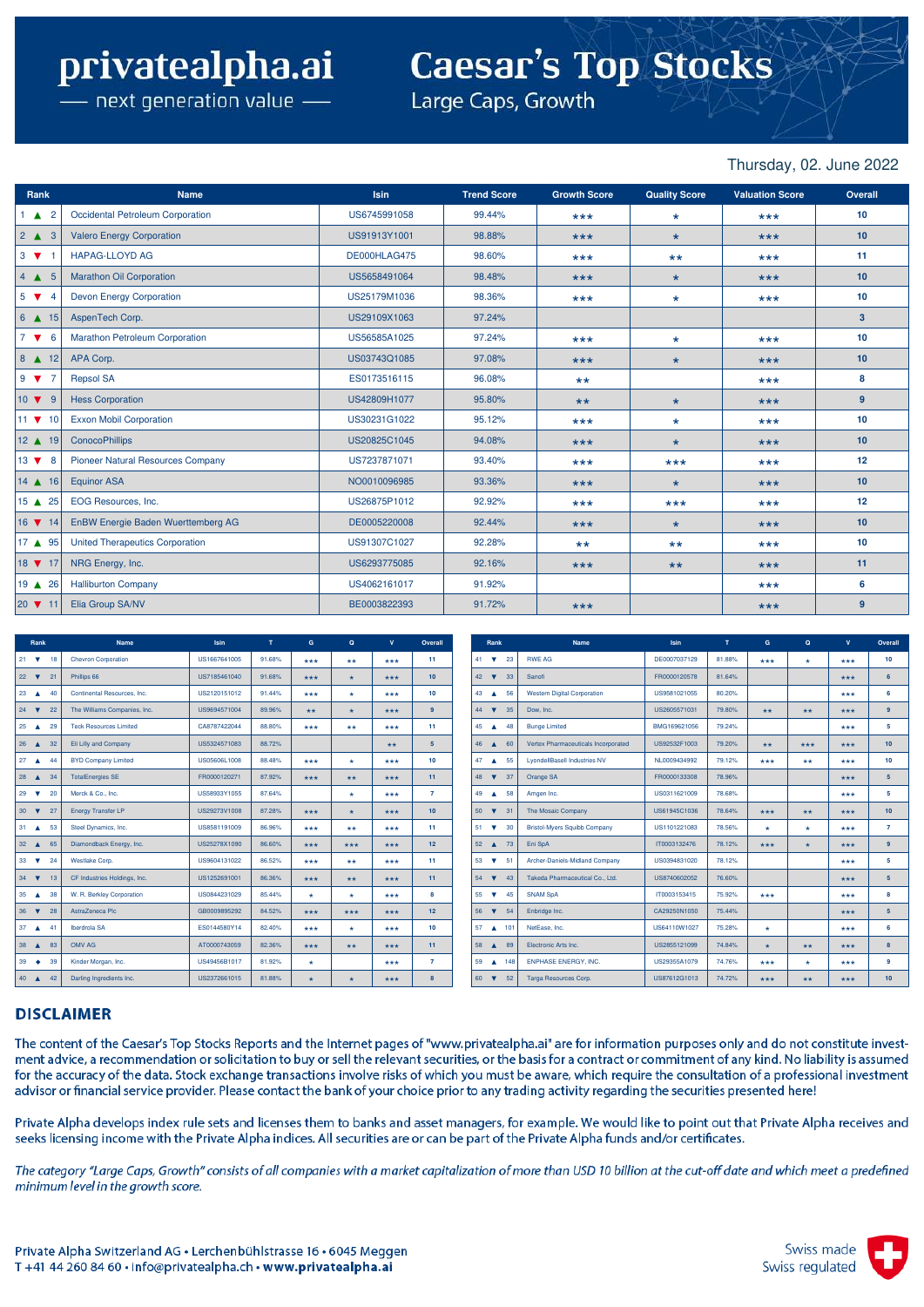## **Caesar's Top Stocks**

– next generation value  $\overline{\phantom{a}}$ 

Large Caps, Growth

#### Thursday, 02. June 2022

| Rank                         | <b>Name</b>                              | <b>Isin</b>  | <b>Trend Score</b> | <b>Growth Score</b> | <b>Quality Score</b> | <b>Valuation Score</b> | Overall         |
|------------------------------|------------------------------------------|--------------|--------------------|---------------------|----------------------|------------------------|-----------------|
| $\triangle$ 2                | Occidental Petroleum Corporation         | US6745991058 | 99.44%             | $***$               | $\star$              | $***$                  | 10              |
| $2 \triangle 3$              | <b>Valero Energy Corporation</b>         | US91913Y1001 | 98.88%             | $***$               | $\star$              | $***$                  | 10              |
| $3 \nabla$                   | <b>HAPAG-LLOYD AG</b>                    | DE000HLAG475 | 98.60%             | $***$               | $***$                | $***$                  | 11              |
| $4 \triangle 5$              | <b>Marathon Oil Corporation</b>          | US5658491064 | 98.48%             | $***$               | $\star$              | $***$                  | 10              |
| $5 \nabla$<br>$\overline{4}$ | <b>Devon Energy Corporation</b>          | US25179M1036 | 98.36%             | $***$               | $\star$              | $***$                  | 10              |
| $6$ $\blacktriangle$ 15      | AspenTech Corp.                          | US29109X1063 | 97.24%             |                     |                      |                        | 3 <sup>2</sup>  |
| $7 \sqrt{ }$<br>6            | <b>Marathon Petroleum Corporation</b>    | US56585A1025 | 97.24%             | $***$               | $\star$              | $***$                  | 10              |
| $8 \triangle 12$             | APA Corp.                                | US03743Q1085 | 97.08%             | $***$               | $\star$              | $***$                  | 10              |
| $9 \times 7$                 | <b>Repsol SA</b>                         | ES0173516115 | 96.08%             | $***$               |                      | $***$                  | 8               |
| $10 \bullet 9$               | <b>Hess Corporation</b>                  | US42809H1077 | 95.80%             | $***$               | $\star$              | $***$                  | 9 <sup>°</sup>  |
| $11 \bullet 10$              | <b>Exxon Mobil Corporation</b>           | US30231G1022 | 95.12%             | $***$               | $\star$              | $***$                  | 10 <sup>°</sup> |
| 12 ▲ 19                      | <b>ConocoPhillips</b>                    | US20825C1045 | 94.08%             | $***$               | $\star$              | $***$                  | 10              |
| $13 \times 8$                | <b>Pioneer Natural Resources Company</b> | US7237871071 | 93.40%             | $***$               | $***$                | $***$                  | 12              |
| $14$ $\triangle$ 16          | <b>Equinor ASA</b>                       | NO0010096985 | 93.36%             | $***$               | $\star$              | $***$                  | 10 <sup>°</sup> |
| 15 ▲ 25                      | EOG Resources, Inc.                      | US26875P1012 | 92.92%             | $***$               | $***$                | $***$                  | 12              |
| $16$ $\blacktriangledown$ 14 | EnBW Energie Baden Wuerttemberg AG       | DE0005220008 | 92.44%             | $***$               | $\star$              | $***$                  | 10              |
| 17 ▲ 95                      | <b>United Therapeutics Corporation</b>   | US91307C1027 | 92.28%             | $***$               | $***$                | $***$                  | 10              |
| 18 7 17                      | NRG Energy, Inc.                         | US6293775085 | 92.16%             | $***$               | $***$                | $***$                  | 11              |
| 19 ▲ 26                      | <b>Halliburton Company</b>               | US4062161017 | 91.92%             |                     |                      | $***$                  | 6               |
|                              | Elia Group SA/NV                         | BE0003822393 | 91.72%             | $***$               |                      | $***$                  | 9               |

| Rank                                             | Name                          | <b>Isin</b>  | T      | G           | $\Omega$             | $\mathbf{v}$ | Overall          | Rank                                   |                 | <b>Name</b>                         | <b>Isin</b>  | T      | G.      | $\mathbf{Q}$ | $\mathbf{v}$ | Overall          |
|--------------------------------------------------|-------------------------------|--------------|--------|-------------|----------------------|--------------|------------------|----------------------------------------|-----------------|-------------------------------------|--------------|--------|---------|--------------|--------------|------------------|
| $21 \quad \nabla$                                | <b>Chevron Corporation</b>    | US1667641005 | 91.68% | ***         | $***$                | ***          | 11               | 41 $\mathbf{v}$ 23                     |                 | <b>RWE AG</b>                       | DE0007037129 | 81.88% | ***     | $\star$      | ***          | 10 <sup>10</sup> |
| $22 \times$<br>21                                | Phillips 66                   | US7185461040 | 91.68% | ***         | $\star$              | ***          | 10 <sup>10</sup> | 42 $\blacktriangledown$                | 33              | Sanofi                              | FR0000120578 | 81.64% |         |              | ***          | 6                |
| 23 $\triangle$<br>40                             | Continental Resources, Inc.   | US2120151012 | 91.44% | $***$       | $\star$              | ***          | 10               | 43 $\triangle$                         | 56              | <b>Western Digital Corporation</b>  | US9581021055 | 80.20% |         |              | ***          | 6                |
| $24$ $\blacktriangledown$<br>22                  | The Williams Companies, Inc.  | US9694571004 | 89.96% | $***$       | $\star$              | $***$        | 9                | 44 7 35                                |                 | Dow. Inc.                           | US2605571031 | 79.80% | $***$   | $**$         | $***$        | 9                |
| 25<br>29<br>$\blacktriangle$                     | <b>Teck Resources Limited</b> | CA8787422044 | 88.80% | ***         | $**$                 | ***          | 11               | 45 $\triangle$                         | 48              | <b>Bunge Limited</b>                | BMG169621056 | 79.24% |         |              | $***$        | -5               |
| $26 \triangle$<br>32                             | Eli Lilly and Company         | US5324571083 | 88.72% |             |                      | $**$         | 5 <sup>1</sup>   | 46 46 60                               |                 | Vertex Pharmaceuticals Incorporated | US92532F1003 | 79.20% | $**$    | $***$        | $***$        | 10 <sup>1</sup>  |
| 27<br>44<br>$\blacktriangle$                     | <b>BYD Company Limited</b>    | US05606L1008 | 88.48% | ***         | $\star$              | $***$        | 10               | $47 - A$                               | 55              | <b>LyondellBasell Industries NV</b> | NL0009434992 | 79.12% | ***     | $***$        | ***          | 10 <sup>10</sup> |
| 28 <br>34<br>$\blacktriangle$                    | <b>TotalEnergies SE</b>       | FR0000120271 | 87.92% | ***         | $**$                 | ***          | 11               | 48<br>$\overline{\mathbf{v}}$          | 37              | Orange SA                           | FR0000133308 | 78.96% |         |              | $***$        | 5                |
| 29<br>20<br>$\overline{\mathbf{v}}$              | Merck & Co., Inc.             | US58933Y1055 | 87.64% |             | $\star$              | ***          | $\overline{7}$   | 49 $\triangle$                         | 58              | Amgen Inc.                          | US0311621009 | 78.68% |         |              | ***          | 5                |
| 30 <sup>°</sup><br>$\overline{\mathbf{v}}$<br>27 | <b>Energy Transfer LP</b>     | US29273V1008 | 87.28% | $***$       | $\star$              | ***          | 10 <sup>10</sup> | $50 \quad \blacktriangledown \quad 31$ |                 | The Mosaic Company                  | US61945C1036 | 78.64% | $***$   | $**$         | $***$        | 10 <sub>1</sub>  |
| $31 \quad \triangle$<br>53                       | Steel Dynamics, Inc.          | US8581191009 | 86.96% | $***$       | $**$                 | $***$        | 11               | $51 \quad \nabla$                      | 30              | <b>Bristol-Mvers Squibb Company</b> | US1101221083 | 78.56% | ÷       | $\star$      | $***$        | $\overline{7}$   |
| $32 \triangle$<br>65                             | Diamondback Energy, Inc.      | US25278X1090 | 86.60% | ***         | $***$                | ***          | 12 <sup>2</sup>  | $52 \triangle$                         | 73              | Eni SpA                             | IT0003132476 | 78.12% | ***     | $\star$      | ***          | 9                |
| $33 \quad \nabla$<br>24                          | Westlake Corp.                | US9604131022 | 86.52% | ***         | $***$                | ***          | 11               | 53 $\times$ 51                         |                 | Archer-Daniels-Midland Company      | US0394831020 | 78.12% |         |              | $***$        | -5               |
| $34 \quad \nabla$<br>13                          | CF Industries Holdings, Inc.  | US1252691001 | 86.36% | ***         | $**$                 | $***$        | 11 <sup>1</sup>  | $54 \times 43$                         |                 | Takeda Pharmaceutical Co., Ltd.     | US8740602052 | 76.60% |         |              | $***$        | 5 <sub>5</sub>   |
| 35 4 38                                          | W. R. Berkley Corporation     | US0844231029 | 85.44% |             | $\star$              | ***          | 8                | $55 \quad \blacktriangledown$          | 45              | <b>SNAM SpA</b>                     | IT0003153415 | 75.92% | ***     |              | $***$        | 8                |
| 36<br>28<br>$\overline{\mathbf{v}}$              | AstraZeneca Plc               | GB0009895292 | 84.52% | ***         | $***$                | $***$        | 12 <sup>2</sup>  | 56<br>$\overline{\mathbf{v}}$          | 54              | Enbridge Inc.                       | CA29250N1050 | 75.44% |         |              | $***$        | $\overline{5}$   |
| 37<br>41<br>$\blacktriangle$                     | Iberdrola SA                  | ES0144580Y14 | 82.40% | ***         | $\star$              | ***          | 10               | 57                                     | $\triangle$ 101 | NetEase, Inc.                       | US64110W1027 | 75.28% | $\star$ |              | $***$        | 6                |
| 38<br>83<br>$\blacktriangle$                     | OMV AG                        | AT0000743059 | 82.36% | $***$       | $**$                 | $***$        | 11               | 58<br>$\blacktriangle$                 | 89              | Electronic Arts Inc.                | US2855121099 | 74.84% | $\star$ | $**$         | $***$        | 8                |
| 39<br>39<br>$\bullet$                            | Kinder Morgan, Inc.           | US49456B1017 | 81.92% | <b>Alle</b> |                      | ***          | $\overline{7}$   | 59 4 148                               |                 | <b>ENPHASE ENERGY, INC.</b>         | US29355A1079 | 74.76% | ***     | $\star$      | ***          | 9                |
| 40 42                                            | Darling Ingredients Inc.      | US2372661015 | 81.88% |             | $\ddot{\phantom{1}}$ | ***          | 8                | $60 \quad \nabla$                      | 52              | Targa Resources Corp.               | US87612G1013 | 74.72% | ***     | $**$         | ***          | 10 <sup>1</sup>  |

#### **DISCLAIMER**

The content of the Caesar's Top Stocks Reports and the Internet pages of "www.privatealpha.ai" are for information purposes only and do not constitute investment advice, a recommendation or solicitation to buy or sell the relevant securities, or the basis for a contract or commitment of any kind. No liability is assumed for the accuracy of the data. Stock exchange transactions involve risks of which you must be aware, which require the consultation of a professional investment advisor or financial service provider. Please contact the bank of your choice prior to any trading activity regarding the securities presented here!

Private Alpha develops index rule sets and licenses them to banks and asset managers, for example. We would like to point out that Private Alpha receives and seeks licensing income with the Private Alpha indices. All securities are or can be part of the Private Alpha funds and/or certificates.

The category "Large Caps, Growth" consists of all companies with a market capitalization of more than USD 10 billion at the cut-off date and which meet a predefined minimum level in the growth score.

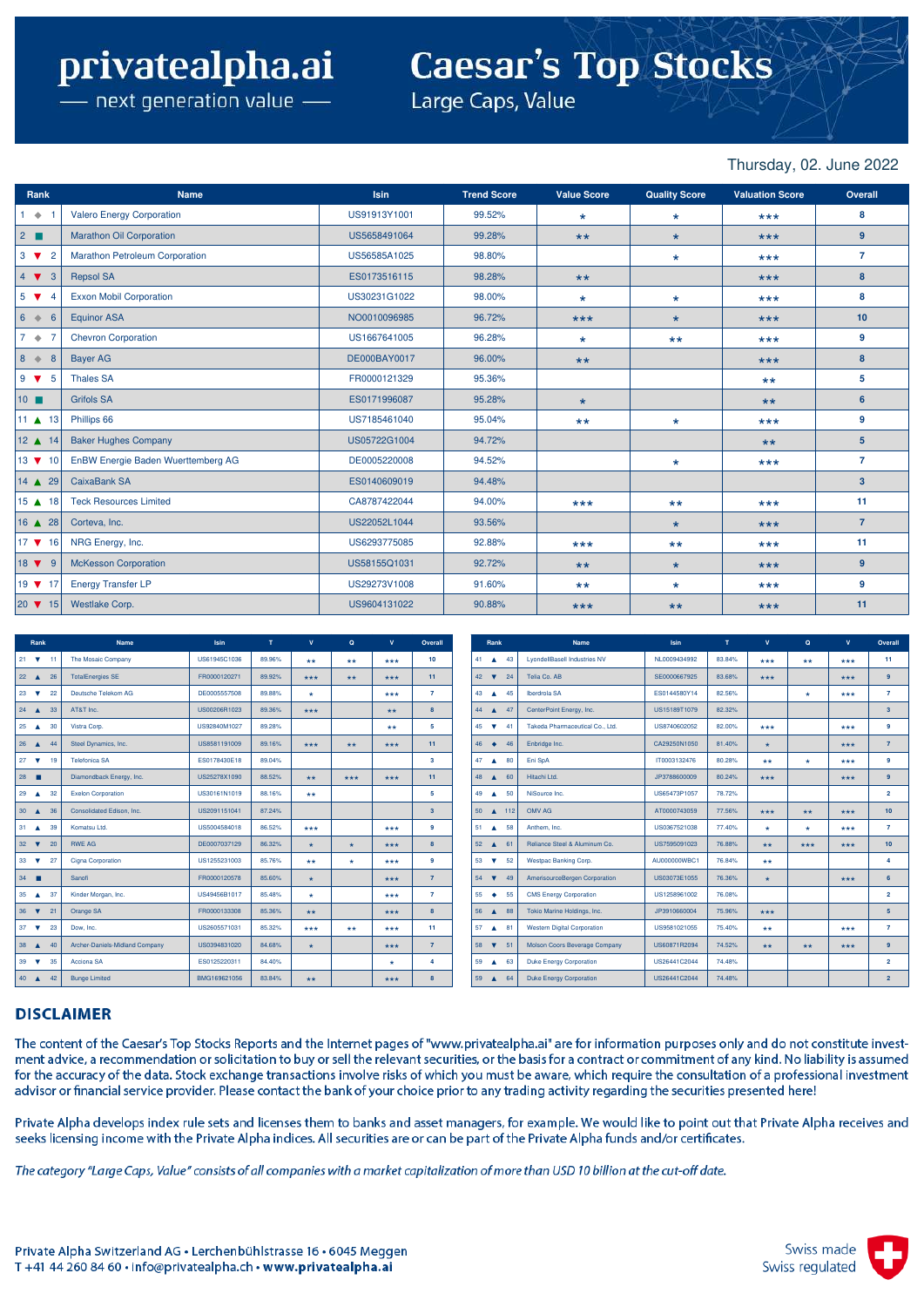# **Caesar's Top Stocks**

– next generation value  $\overline{\phantom{a}}$ 

Large Caps, Value

#### Thursday, 02. June 2022

| Rank                           | <b>Name</b>                           | <b>Isin</b>  | <b>Trend Score</b> | <b>Value Score</b> | <b>Quality Score</b> | <b>Valuation Score</b> | Overall        |
|--------------------------------|---------------------------------------|--------------|--------------------|--------------------|----------------------|------------------------|----------------|
| $1 + 1$                        | <b>Valero Energy Corporation</b>      | US91913Y1001 | 99.52%             | $\star$            | $\star$              | $***$                  | 8              |
| $2 \blacksquare$               | <b>Marathon Oil Corporation</b>       | US5658491064 | 99.28%             | $***$              | $\star$              | $***$                  | 9              |
| $3 \nabla$<br>$\overline{2}$   | <b>Marathon Petroleum Corporation</b> | US56585A1025 | 98.80%             |                    | $\star$              | $***$                  | $\overline{7}$ |
| $4 \times 3$                   | <b>Repsol SA</b>                      | ES0173516115 | 98.28%             | $***$              |                      | $***$                  | 8              |
| $5 \sqrt{2}$<br>$\overline{4}$ | <b>Exxon Mobil Corporation</b>        | US30231G1022 | 98.00%             | $\star$            | $\star$              | $***$                  | 8              |
| $6 \Leftrightarrow$<br>6       | <b>Equinor ASA</b>                    | NO0010096985 | 96.72%             | $***$              | $\star$              | $***$                  | 10             |
| $7 \bullet$<br>$\overline{7}$  | <b>Chevron Corporation</b>            | US1667641005 | 96.28%             | $\star$            | $***$                | $***$                  | 9              |
| $8 \Leftrightarrow$<br>8       | <b>Bayer AG</b>                       | DE000BAY0017 | 96.00%             | $***$              |                      | $***$                  | 8              |
| $9 \times 5$                   | <b>Thales SA</b>                      | FR0000121329 | 95.36%             |                    |                      | $***$                  | 5              |
| $10$ $\blacksquare$            | <b>Grifols SA</b>                     | ES0171996087 | 95.28%             | $\star$            |                      | $***$                  | 6              |
| 11 $\triangle$ 13              | Phillips 66                           | US7185461040 | 95.04%             | $***$              | $\star$              | $***$                  | 9              |
| 12 ▲ 14                        | <b>Baker Hughes Company</b>           | US05722G1004 | 94.72%             |                    |                      | $***$                  | 5 <sup>5</sup> |
| $13 \times 10$                 | EnBW Energie Baden Wuerttemberg AG    | DE0005220008 | 94.52%             |                    | $\star$              | $***$                  | $\overline{7}$ |
| $14 \triangle 29$              | CaixaBank SA                          | ES0140609019 | 94.48%             |                    |                      |                        | 3 <sup>2</sup> |
| $15$ $\triangle$ 18            | <b>Teck Resources Limited</b>         | CA8787422044 | 94.00%             | $***$              | $***$                | $***$                  | 11             |
| $16$ $\triangle$ 28            | Corteva, Inc.                         | US22052L1044 | 93.56%             |                    | $\star$              | $***$                  | $\overline{7}$ |
| $17 \times 16$                 | NRG Energy, Inc.                      | US6293775085 | 92.88%             | $***$              | $***$                | $***$                  | 11             |
| $18 \bullet 9$                 | <b>McKesson Corporation</b>           | US58155Q1031 | 92.72%             | $***$              | $\star$              | $***$                  | 9              |
| 19 ▼ 17                        | <b>Energy Transfer LP</b>             | US29273V1008 | 91.60%             | $***$              | $\star$              | $***$                  | 9              |
|                                | Westlake Corp.                        | US9604131022 | 90.88%             | $***$              | $***$                | $***$                  | 11             |

| Rank                                             | <b>Name</b>                    | Isin         | T      | $\mathbf{v}$         | $\alpha$ | $\mathbf{v}$ | Overall          | Rank                                | <b>Name</b>                         | <b>Isin</b>  | T      | $\mathbf{v}$ | $\mathbf{Q}$ | $\mathbf{v}$ | Overall          |
|--------------------------------------------------|--------------------------------|--------------|--------|----------------------|----------|--------------|------------------|-------------------------------------|-------------------------------------|--------------|--------|--------------|--------------|--------------|------------------|
| $21 \quad \nabla$                                | The Mosaic Company             | US61945C1036 | 89.96% | $***$                | $***$    | ***          | 10 <sup>10</sup> | 41 $\triangle$ 43                   | <b>LyondellBasell Industries NV</b> | NL0009434992 | 83.84% | ***          | $***$        | ***          | 11               |
| 22<br>26<br>$\blacktriangle$                     | <b>TotalEnergies SE</b>        | FR0000120271 | 89.92% | ***                  | $**$     | ***          | 11               | 42 $\overline{\mathbf{v}}$<br>24    | Telia Co. AB                        | SE0000667925 | 83.68% | ***          |              | $***$        | $\mathbf{a}$     |
| 23<br>22<br>$\overline{\mathbf{v}}$              | Deutsche Telekom AG            | DE0005557508 | 89.88% | ÷                    |          | $***$        | $\overline{7}$   | 45<br>43 $\triangle$                | Iberdrola SA                        | ES0144580Y14 | 82.56% |              | $\star$      | $***$        | $\overline{7}$   |
| $24 \triangle$<br>33                             | AT&T Inc.                      | US00206R1023 | 89.36% | $***$                |          | $**$         | $\bf{a}$         | 44 $\triangle$ 47                   | CenterPoint Energy, Inc.            | US15189T1079 | 82.32% |              |              |              | 3 <sup>1</sup>   |
| 25<br>30<br>$\blacktriangle$                     | Vistra Corp.                   | US92840M1027 | 89.28% |                      |          | $***$        | 5.               | 45 $\overline{\mathbf{v}}$<br>$-41$ | Takeda Pharmaceutical Co., Ltd.     | US8740602052 | 82.00% | ***          |              | $***$        | 9                |
| $26 \triangle$<br>44                             | Steel Dynamics, Inc.           | US8581191009 | 89.16% | $***$                | $**$     | $***$        | 11               | $46 \bullet$<br>46                  | Enbridge Inc.                       | CA29250N1050 | 81.40% | ÷            |              | $***$        | $\overline{7}$   |
| 27<br>$\overline{\mathbf{v}}$<br>19              | <b>Telefonica SA</b>           | ES0178430E18 | 89.04% |                      |          |              | 3                | 47 $\triangle$<br>80                | Eni SpA                             | IT0003132476 | 80.28% | $***$        | $\star$      | ***          | 9                |
| 28                                               | Diamondback Energy, Inc.       | US25278X1090 | 88.52% | $***$                | ***      | ***          | 11               | 48<br>60<br>$\blacktriangle$        | Hitachi Ltd.                        | JP3788600009 | 80.24% | $***$        |              | ***          | $\mathbf{a}$     |
| 29<br>32<br>$\blacktriangle$                     | <b>Exelon Corporation</b>      | US30161N1019 | 88.16% | $***$                |          |              | 5.               | 49 4 50                             | NiSource Inc.                       | US65473P1057 | 78.72% |              |              |              | $\overline{2}$   |
| 30<br>36<br>$\blacktriangle$                     | Consolidated Edison, Inc.      | US2091151041 | 87.24% |                      |          |              | 3 <sup>°</sup>   | 50 ▲ 112                            | OMV AG                              | AT0000743059 | 77.56% | $***$        | $***$        | $***$        | 10 <sup>1</sup>  |
| $31 \quad \triangle$<br>39                       | Komatsu Ltd.                   | US5004584018 | 86.52% | $***$                |          | $***$        | ۰                | 51 4 58                             | Anthem, Inc.                        | US0367521038 | 77.40% | ÷            | $\Phi$       | ***          | $\overline{7}$   |
| 32 <sup>2</sup><br>$\overline{\mathbf{v}}$<br>20 | <b>RWE AG</b>                  | DE0007037129 | 86.32% | $\ddot{\phantom{1}}$ | $\star$  | $***$        | $\bf{a}$         | $52 \triangle 61$                   | Reliance Steel & Aluminum Co.       | US7595091023 | 76.88% | **           | ***          | $***$        | 10 <sup>10</sup> |
| 33<br>$\overline{\mathbf{v}}$<br>27              | Cigna Corporation              | US1255231003 | 85.76% | $***$                | $\star$  | $***$        | 9                | 53 $\overline{v}$<br>52             | Westpac Banking Corp.               | AU000000WBC1 | 76.84% | $***$        |              |              | 4                |
| 34                                               | Sanofi                         | FR0000120578 | 85.60% | $\Phi$               |          | $***$        | $\overline{z}$   | $54$ $\blacktriangledown$<br>49     | AmerisourceBergen Corporation       | US03073E1055 | 76.36% | $\star$      |              | $***$        | 6                |
| 35<br>$\triangle$ 37                             | Kinder Morgan, Inc.            | US49456B1017 | 85.48% | $\Delta \mathbf{r}$  |          | ***          |                  | $55 +$<br>55                        | <b>CMS Energy Corporation</b>       | US1258961002 | 76.08% |              |              |              | $\overline{2}$   |
| 36<br>$\overline{\mathbf{v}}$<br>21              | Orange SA                      | FR0000133308 | 85.36% | $***$                |          | $***$        | <b>B</b>         | 56<br>88<br>$\blacktriangle$        | Tokio Marine Holdings, Inc.         | JP3910660004 | 75.96% | $***$        |              |              | 5                |
| 37<br>$\overline{\mathbf{v}}$<br>23              | Dow, Inc.                      | US2605571031 | 85.32% | ***                  | $***$    | $***$        | 11               | 57 4 81                             | <b>Western Digital Corporation</b>  | US9581021055 | 75.40% | $***$        |              | $***$        | $\overline{7}$   |
| 38<br>$\blacktriangle$<br>40                     | Archer-Daniels-Midland Company | US0394831020 | 84.68% | $\Phi$               |          | $***$        | $\overline{7}$   | 58<br>51<br>$\overline{\mathbf{v}}$ | Molson Coors Beverage Company       | US60871R2094 | 74.52% | $**$         | $***$        | $***$        | $\mathbf{a}$     |
| 39<br>$\overline{\mathbf{v}}$<br>35              | Acciona SA                     | ES0125220311 | 84.40% |                      |          | $\star$      | Δ                | 59 4 63                             | <b>Duke Energy Corporation</b>      | US26441C2044 | 74.48% |              |              |              | $\overline{2}$   |
| 40 42                                            | <b>Bunge Limited</b>           | BMG169621056 | 83.84% | $***$                |          | ***          | 8                | 59 4 64                             | <b>Duke Energy Corporation</b>      | US26441C2044 | 74.48% |              |              |              | $\overline{2}$   |

#### **DISCLAIMER**

The content of the Caesar's Top Stocks Reports and the Internet pages of "www.privatealpha.ai" are for information purposes only and do not constitute investment advice, a recommendation or solicitation to buy or sell the relevant securities, or the basis for a contract or commitment of any kind. No liability is assumed for the accuracy of the data. Stock exchange transactions involve risks of which you must be aware, which require the consultation of a professional investment advisor or financial service provider. Please contact the bank of your choice prior to any trading activity regarding the securities presented here!

Private Alpha develops index rule sets and licenses them to banks and asset managers, for example. We would like to point out that Private Alpha receives and seeks licensing income with the Private Alpha indices. All securities are or can be part of the Private Alpha funds and/or certificates.

The category "Large Caps, Value" consists of all companies with a market capitalization of more than USD 10 billion at the cut-off date.

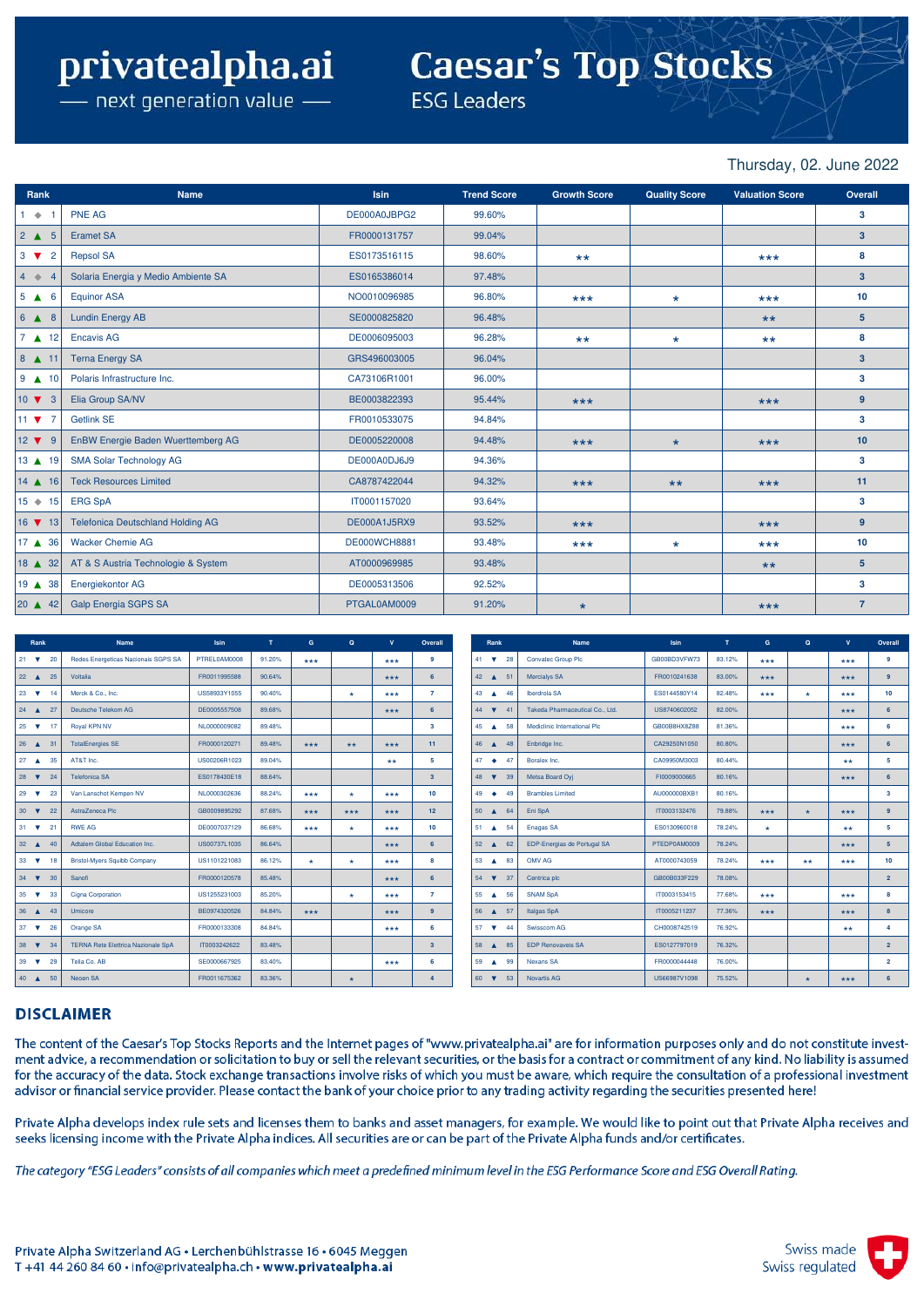# **Caesar's Top Stocks**

 $-$  next generation value  $-$ 

**ESG Leaders** 

Thursday, 02. June 2022

| Rank                                  | <b>Name</b>                              | <b>Isin</b>         | <b>Trend Score</b> | <b>Growth Score</b> | <b>Quality Score</b> | <b>Valuation Score</b> | Overall        |
|---------------------------------------|------------------------------------------|---------------------|--------------------|---------------------|----------------------|------------------------|----------------|
| $1 + 1$                               | <b>PNE AG</b>                            | DE000A0JBPG2        | 99.60%             |                     |                      |                        | 3              |
| $2 \triangle 5$                       | <b>Eramet SA</b>                         | FR0000131757        | 99.04%             |                     |                      |                        | 3 <sup>2</sup> |
| $3 \nabla$<br>$\overline{2}$          | <b>Repsol SA</b>                         | ES0173516115        | 98.60%             | $***$               |                      | $***$                  | 8              |
| $4 \div 4$                            | Solaria Energia y Medio Ambiente SA      | ES0165386014        | 97.48%             |                     |                      |                        | 3 <sup>2</sup> |
| $5 \triangle 6$                       | <b>Equinor ASA</b>                       | NO0010096985        | 96.80%             | $***$               | $\star$              | $***$                  | 10             |
| $6$ $\triangle$ 8                     | <b>Lundin Energy AB</b>                  | SE0000825820        | 96.48%             |                     |                      | $***$                  | 5 <sup>5</sup> |
| $7 \triangle 12$                      | <b>Encavis AG</b>                        | DE0006095003        | 96.28%             | $***$               | $\star$              | $***$                  | 8              |
| $8$ $\triangle$ 11                    | <b>Terna Energy SA</b>                   | GRS496003005        | 96.04%             |                     |                      |                        | 3 <sup>2</sup> |
| $9$ $\triangle$ 10                    | Polaris Infrastructure Inc.              | CA73106R1001        | 96.00%             |                     |                      |                        | 3              |
| $10 \bullet 3$                        | Elia Group SA/NV                         | BE0003822393        | 95.44%             | $***$               |                      | $***$                  | $9^{\circ}$    |
| 11 $\blacktriangledown$ 7             | <b>Getlink SE</b>                        | FR0010533075        | 94.84%             |                     |                      |                        | 3              |
| $12 \times 9$                         | EnBW Energie Baden Wuerttemberg AG       | DE0005220008        | 94.48%             | $***$               | $\star$              | $***$                  | 10             |
| $13$ $\triangle$ 19                   | <b>SMA Solar Technology AG</b>           | DE000A0DJ6J9        | 94.36%             |                     |                      |                        | 3              |
| $14$ $\triangle$ 16                   | <b>Teck Resources Limited</b>            | CA8787422044        | 94.32%             | $***$               | $***$                | $***$                  | 11             |
| $15 + 15$                             | <b>ERG SpA</b>                           | IT0001157020        | 93.64%             |                     |                      |                        | 3              |
| $16$ $\blacktriangledown$ 13          | <b>Telefonica Deutschland Holding AG</b> | DE000A1J5RX9        | 93.52%             | $***$               |                      | $***$                  | 9              |
| 17 4 36                               | <b>Wacker Chemie AG</b>                  | <b>DE000WCH8881</b> | 93.48%             | $***$               | $\star$              | $***$                  | 10             |
| $18 \triangle 32$                     | AT & S Austria Technologie & System      | AT0000969985        | 93.48%             |                     |                      | $***$                  | 5 <sup>5</sup> |
| 19 ▲ 38                               | Energiekontor AG                         | DE0005313506        | 92.52%             |                     |                      |                        | 3              |
| $\begin{vmatrix} 20 \end{vmatrix}$ 42 | <b>Galp Energia SGPS SA</b>              | PTGAL0AM0009        | 91.20%             | $\star$             |                      | $***$                  | $\overline{7}$ |

| Rank                                | Name                                      | <b>Isin</b>  | T      | G     | $\mathbf{Q}$ | $\mathbf{v}$ | Overall          | Rank                       |    | <b>Name</b>                     | <b>Isin</b>  | т.     | G       | $\mathbf{Q}$ | $\mathbf{v}$ | Overall        |
|-------------------------------------|-------------------------------------------|--------------|--------|-------|--------------|--------------|------------------|----------------------------|----|---------------------------------|--------------|--------|---------|--------------|--------------|----------------|
| $21 \quad \nabla$<br>20             | Redes Energeticas Nacionais SGPS SA       | PTREL0AM0008 | 91.20% | ***   |              | $***$        | ۰                | 41 $\blacktriangledown$ 28 |    | Convatec Group Plc              | GB00BD3VFW73 | 83.12% | ***     |              | $***$        | 9              |
| $22 \triangle$<br>25                | Voltalia                                  | FR0011995588 | 90.64% |       |              | $***$        | 6                | 42 4 51                    |    | Mercialys SA                    | FR0010241638 | 83.00% | $***$   |              | $***$        | 9 <sup>°</sup> |
| $23 \quad \nabla$                   | Merck & Co., Inc.                         | US58933Y1055 | 90.40% |       | $\star$      | $***$        | $\overline{z}$   | 43 $\triangle$             | 46 | Iberdrola SA                    | ES0144580Y14 | 82.48% | ***     | $\star$      | ***          | 10             |
| $24 \triangle$<br>27                | Deutsche Telekom AG                       | DE0005557508 | 89.68% |       |              | $***$        | 6                | $44 \quad \nabla$          | 41 | Takeda Pharmaceutical Co., Ltd. | US8740602052 | 82.00% |         |              | ***          | 6              |
| $25 \quad \nabla$<br>-17            | Royal KPN NV                              | NL0000009082 | 89.48% |       |              |              | 3.               | 45 46 58                   |    | Mediclinic International Plc    | GB00B8HX8Z88 | 81.36% |         |              | ***          | 6              |
| $26 \triangle 31$                   | <b>TotalEnergies SE</b>                   | FR0000120271 | 89.48% | $***$ | $**$         | $***$        | 11               | 46 $\triangle$             | 48 | Enbridge Inc.                   | CA29250N1050 | 80.80% |         |              | $***$        | 6              |
| $27 \Delta$<br>35                   | AT&T Inc.                                 | US00206R1023 | 89.04% |       |              | $**$         | 5.               | $47 - $                    | 47 | Boralex Inc.                    | CA09950M3003 | 80.44% |         |              | $**$         | 5              |
| 28<br>$\overline{\mathbf{v}}$<br>24 | <b>Telefonica SA</b>                      | ES0178430E18 | 88.64% |       |              |              | 3 <sup>1</sup>   | 48 $\blacktriangledown$    | 39 | Metsa Board Oyj                 | FI0009000665 | 80.16% |         |              | ***          | 6              |
| 29 $\blacktriangledown$<br>23       | Van Lanschot Kempen NV                    | NL0000302636 | 88.24% | ***   | $\star$      | ***          | 10 <sup>10</sup> | 49 $\bullet$               | 49 | <b>Brambles Limited</b>         | AU000000BXB1 | 80.16% |         |              |              | 3              |
| $30 \quad \nabla$<br>22             | AstraZeneca Plc                           | GB0009895292 | 87.68% | $***$ | $***$        | $***$        | 12 <sup>2</sup>  | 50 4 64                    |    | Eni SpA                         | IT0003132476 | 79.88% | $***$   | $\star$      | $***$        | 9              |
| $31 \quad \nabla$<br>21             | <b>RWE AG</b>                             | DE0007037129 | 86.68% | ***   | $\star$      | $***$        | 10 <sup>10</sup> | 51 4 54                    |    | Enagas SA                       | ES0130960018 | 78.24% | $\star$ |              | $**$         | 5.             |
| $32 \triangle$<br>40                | Adtalem Global Education Inc.             | US00737L1035 | 86.64% |       |              | $***$        | 6                | $52 \triangle$             | 62 | EDP-Energias de Portugal SA     | PTEDP0AM0009 | 78.24% |         |              | ***          | 5 <sup>5</sup> |
| $33 \quad \nabla$<br>18             | <b>Bristol-Myers Squibb Company</b>       | US1101221083 | 86.12% | ٠     | $\star$      | ***          | 8                | 53<br>A 83                 |    | OMV AG                          | AT0000743059 | 78.24% | ***     | $***$        | ***          | 10             |
| $34$ $\blacktriangledown$<br>30     | Sanofi                                    | FR0000120578 | 85.48% |       |              | $***$        | 6                | $54$ $\blacktriangledown$  | 37 | Centrica plc                    | GB00B033F229 | 78.08% |         |              |              | 2 <sup>1</sup> |
| $35 \quad \nabla$<br>33             | Cigna Corporation                         | US1255231003 | 85.20% |       | $\star$      | ***          |                  | 55 4 56                    |    | <b>SNAM SpA</b>                 | IT0003153415 | 77.68% | ***     |              | ***          | 8              |
| 36<br>$\blacktriangle$<br>43        | Umicore                                   | BE0974320526 | 84.84% | $***$ |              | $***$        | $\bullet$        | 56<br>$\blacktriangle$     | 57 | Italgas SpA                     | IT0005211237 | 77.36% | $***$   |              | $***$        | $\mathbf{a}$   |
| 26<br>$37 \quad \nabla$             | Orange SA                                 | FR0000133308 | 84.84% |       |              | ***          | 6                | $57 \quad \nabla$          | 44 | Swisscom AG                     | CH0008742519 | 76.92% |         |              | $**$         | Δ              |
| $38 \quad \nabla$<br>34             | <b>TERNA Rete Elettrica Nazionale SpA</b> | IT0003242622 | 83.48% |       |              |              | 3 <sup>7</sup>   | 58 A                       | 85 | <b>EDP Renovaveis SA</b>        | ES0127797019 | 76.32% |         |              |              | $\overline{2}$ |
| 29<br>$39 \quad \nabla$             | Telia Co. AB                              | SE0000667925 | 83.40% |       |              | $***$        | 6.               | 59 A                       | 99 | Nexans SA                       | FR0000044448 | 76.00% |         |              |              | $\overline{2}$ |
| 40 450                              | Neoen SA                                  | FR0011675362 | 83.36% |       | $\star$      |              | $\Delta$         | $60 \quad \nabla$          | 53 | Novartis AG                     | US66987V1098 | 75.52% |         | $\star$      | ***          | 6              |

#### **DISCLAIMER**

The content of the Caesar's Top Stocks Reports and the Internet pages of "www.privatealpha.ai" are for information purposes only and do not constitute investment advice, a recommendation or solicitation to buy or sell the relevant securities, or the basis for a contract or commitment of any kind. No liability is assumed for the accuracy of the data. Stock exchange transactions involve risks of which you must be aware, which require the consultation of a professional investment advisor or financial service provider. Please contact the bank of your choice prior to any trading activity regarding the securities presented here!

Private Alpha develops index rule sets and licenses them to banks and asset managers, for example. We would like to point out that Private Alpha receives and seeks licensing income with the Private Alpha indices. All securities are or can be part of the Private Alpha funds and/or certificates.

The category "ESG Leaders" consists of all companies which meet a predefined minimum level in the ESG Performance Score and ESG Overall Rating.